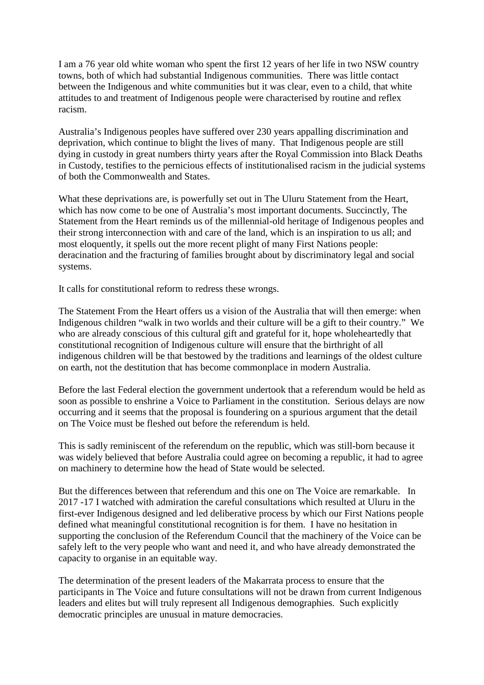I am a 76 year old white woman who spent the first 12 years of her life in two NSW country towns, both of which had substantial Indigenous communities. There was little contact between the Indigenous and white communities but it was clear, even to a child, that white attitudes to and treatment of Indigenous people were characterised by routine and reflex racism.

Australia's Indigenous peoples have suffered over 230 years appalling discrimination and deprivation, which continue to blight the lives of many. That Indigenous people are still dying in custody in great numbers thirty years after the Royal Commission into Black Deaths in Custody, testifies to the pernicious effects of institutionalised racism in the judicial systems of both the Commonwealth and States.

What these deprivations are, is powerfully set out in The Uluru Statement from the Heart, which has now come to be one of Australia's most important documents. Succinctly, The Statement from the Heart reminds us of the millennial-old heritage of Indigenous peoples and their strong interconnection with and care of the land, which is an inspiration to us all; and most eloquently, it spells out the more recent plight of many First Nations people: deracination and the fracturing of families brought about by discriminatory legal and social systems.

It calls for constitutional reform to redress these wrongs.

The Statement From the Heart offers us a vision of the Australia that will then emerge: when Indigenous children "walk in two worlds and their culture will be a gift to their country." We who are already conscious of this cultural gift and grateful for it, hope wholeheartedly that constitutional recognition of Indigenous culture will ensure that the birthright of all indigenous children will be that bestowed by the traditions and learnings of the oldest culture on earth, not the destitution that has become commonplace in modern Australia.

Before the last Federal election the government undertook that a referendum would be held as soon as possible to enshrine a Voice to Parliament in the constitution. Serious delays are now occurring and it seems that the proposal is foundering on a spurious argument that the detail on The Voice must be fleshed out before the referendum is held.

This is sadly reminiscent of the referendum on the republic, which was still-born because it was widely believed that before Australia could agree on becoming a republic, it had to agree on machinery to determine how the head of State would be selected.

But the differences between that referendum and this one on The Voice are remarkable. In 2017 -17 I watched with admiration the careful consultations which resulted at Uluru in the first-ever Indigenous designed and led deliberative process by which our First Nations people defined what meaningful constitutional recognition is for them. I have no hesitation in supporting the conclusion of the Referendum Council that the machinery of the Voice can be safely left to the very people who want and need it, and who have already demonstrated the capacity to organise in an equitable way.

The determination of the present leaders of the Makarrata process to ensure that the participants in The Voice and future consultations will not be drawn from current Indigenous leaders and elites but will truly represent all Indigenous demographies. Such explicitly democratic principles are unusual in mature democracies.